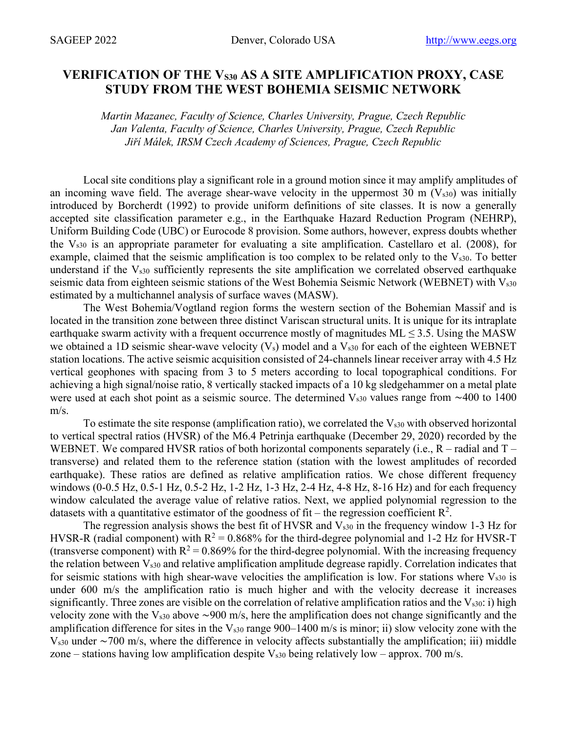## VERIFICATION OF THE V<sub>S30</sub> AS A SITE AMPLIFICATION PROXY, CASE **STUDY FROM THE WEST BOHEMIA SEISMIC NETWORK**

*Martin Mazanec, Faculty of Science, Charles University, Prague, Czech Republic Jan Valenta, Faculty of Science, Charles University, Prague, Czech Republic Jiří Málek, IRSM Czech Academy of Sciences, Prague, Czech Republic*

Local site conditions play a significant role in a ground motion since it may amplify amplitudes of an incoming wave field. The average shear-wave velocity in the uppermost 30 m  $(V_{s30})$  was initially introduced by Borcherdt (1992) to provide uniform definitions of site classes. It is now a generally accepted site classification parameter e.g., in the Earthquake Hazard Reduction Program (NEHRP), Uniform Building Code (UBC) or Eurocode 8 provision. Some authors, however, express doubts whether the  $V<sub>s30</sub>$  is an appropriate parameter for evaluating a site amplification. Castellaro et al. (2008), for example, claimed that the seismic amplification is too complex to be related only to the  $V_{s30}$ . To better understand if the  $V_{s30}$  sufficiently represents the site amplification we correlated observed earthquake seismic data from eighteen seismic stations of the West Bohemia Seismic Network (WEBNET) with Vs30 estimated by a multichannel analysis of surface waves (MASW).

The West Bohemia/Vogtland region forms the western section of the Bohemian Massif and is located in the transition zone between three distinct Variscan structural units. It is unique for its intraplate earthquake swarm activity with a frequent occurrence mostly of magnitudes  $ML \le 3.5$ . Using the MASW we obtained a 1D seismic shear-wave velocity  $(V_s)$  model and a  $V_{s30}$  for each of the eighteen WEBNET station locations. The active seismic acquisition consisted of 24-channels linear receiver array with 4.5 Hz vertical geophones with spacing from 3 to 5 meters according to local topographical conditions. For achieving a high signal/noise ratio, 8 vertically stacked impacts of a 10 kg sledgehammer on a metal plate were used at each shot point as a seismic source. The determined Vs30 values range from ∼400 to 1400 m/s.

To estimate the site response (amplification ratio), we correlated the  $V<sub>s30</sub>$  with observed horizontal to vertical spectral ratios (HVSR) of the M6.4 Petrinja earthquake (December 29, 2020) recorded by the WEBNET. We compared HVSR ratios of both horizontal components separately (i.e.,  $R$  – radial and  $T$  – transverse) and related them to the reference station (station with the lowest amplitudes of recorded earthquake). These ratios are defined as relative amplification ratios. We chose different frequency windows (0-0.5 Hz, 0.5-1 Hz, 0.5-2 Hz, 1-2 Hz, 1-3 Hz, 2-4 Hz, 4-8 Hz, 8-16 Hz) and for each frequency window calculated the average value of relative ratios. Next, we applied polynomial regression to the datasets with a quantitative estimator of the goodness of fit – the regression coefficient  $\mathbb{R}^2$ .

The regression analysis shows the best fit of HVSR and  $V_{s30}$  in the frequency window 1-3 Hz for HVSR-R (radial component) with  $R^2 = 0.868\%$  for the third-degree polynomial and 1-2 Hz for HVSR-T (transverse component) with  $R^2 = 0.869\%$  for the third-degree polynomial. With the increasing frequency the relation between  $V_{s30}$  and relative amplification amplitude degrease rapidly. Correlation indicates that for seismic stations with high shear-wave velocities the amplification is low. For stations where  $V_{s30}$  is under 600 m/s the amplification ratio is much higher and with the velocity decrease it increases significantly. Three zones are visible on the correlation of relative amplification ratios and the  $V_{s30}$ : i) high velocity zone with the Vs30 above ∼900 m/s, here the amplification does not change significantly and the amplification difference for sites in the  $V_{s30}$  range 900–1400 m/s is minor; ii) slow velocity zone with the Vs30 under ∼700 m/s, where the difference in velocity affects substantially the amplification; iii) middle zone – stations having low amplification despite  $V_{s30}$  being relatively low – approx. 700 m/s.